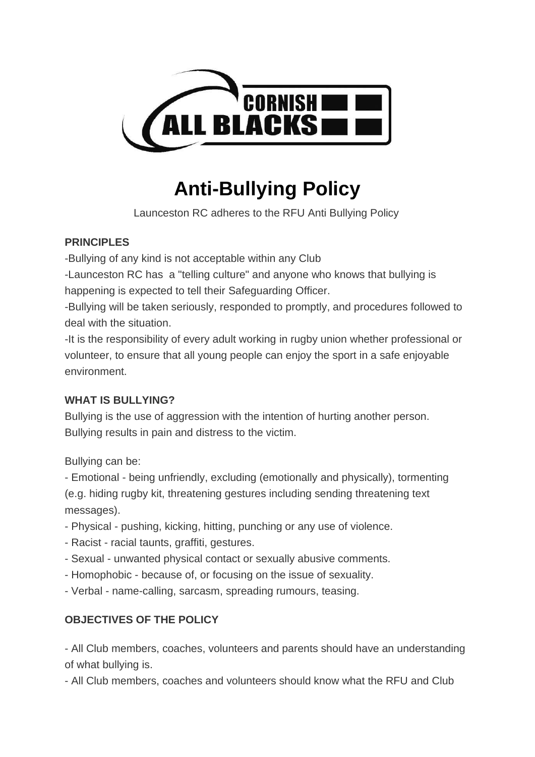

# **Anti-Bullying Policy**

Launceston RC adheres to the RFU Anti Bullying Policy

## **PRINCIPLES**

-Bullying of any kind is not acceptable within any Club

-Launceston RC has a "telling culture" and anyone who knows that bullying is happening is expected to tell their Safeguarding Officer.

-Bullying will be taken seriously, responded to promptly, and procedures followed to deal with the situation.

-It is the responsibility of every adult working in rugby union whether professional or volunteer, to ensure that all young people can enjoy the sport in a safe enjoyable environment.

## **WHAT IS BULLYING?**

Bullying is the use of aggression with the intention of hurting another person. Bullying results in pain and distress to the victim.

Bullying can be:

- Emotional - being unfriendly, excluding (emotionally and physically), tormenting (e.g. hiding rugby kit, threatening gestures including sending threatening text messages).

- Physical pushing, kicking, hitting, punching or any use of violence.
- Racist racial taunts, graffiti, gestures.
- Sexual unwanted physical contact or sexually abusive comments.
- Homophobic because of, or focusing on the issue of sexuality.
- Verbal name-calling, sarcasm, spreading rumours, teasing.

# **OBJECTIVES OF THE POLICY**

- All Club members, coaches, volunteers and parents should have an understanding of what bullying is.

- All Club members, coaches and volunteers should know what the RFU and Club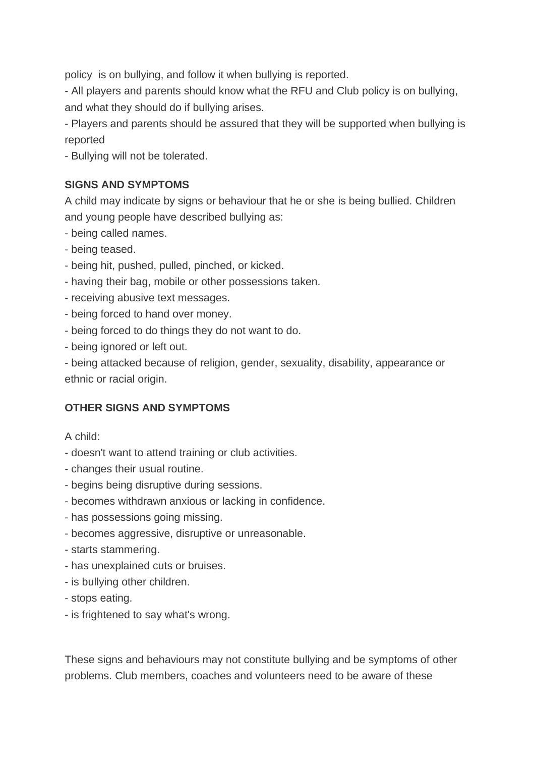policy is on bullying, and follow it when bullying is reported.

- All players and parents should know what the RFU and Club policy is on bullying, and what they should do if bullying arises.

- Players and parents should be assured that they will be supported when bullying is reported

- Bullying will not be tolerated.

#### **SIGNS AND SYMPTOMS**

A child may indicate by signs or behaviour that he or she is being bullied. Children and young people have described bullying as:

- being called names.
- being teased.
- being hit, pushed, pulled, pinched, or kicked.
- having their bag, mobile or other possessions taken.
- receiving abusive text messages.
- being forced to hand over money.
- being forced to do things they do not want to do.
- being ignored or left out.

- being attacked because of religion, gender, sexuality, disability, appearance or ethnic or racial origin.

#### **OTHER SIGNS AND SYMPTOMS**

A child:

- doesn't want to attend training or club activities.
- changes their usual routine.
- begins being disruptive during sessions.
- becomes withdrawn anxious or lacking in confidence.
- has possessions going missing.
- becomes aggressive, disruptive or unreasonable.
- starts stammering.
- has unexplained cuts or bruises.
- is bullying other children.
- stops eating.
- is frightened to say what's wrong.

These signs and behaviours may not constitute bullying and be symptoms of other problems. Club members, coaches and volunteers need to be aware of these